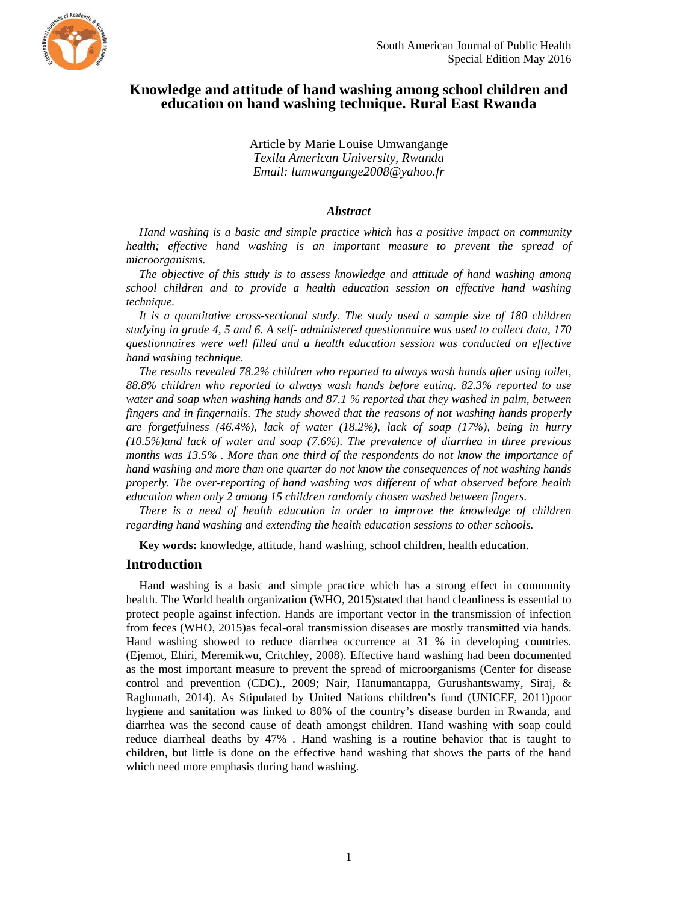

# **Knowledge and attitude of hand washing among school children and education on hand washing technique. Rural East Rwanda**

Article by Marie Louise Umwangange *Texila American University, Rwanda Email: lumwangange2008@yahoo.fr* 

### *Abstract*

*Hand washing is a basic and simple practice which has a positive impact on community health; effective hand washing is an important measure to prevent the spread of microorganisms.* 

*The objective of this study is to assess knowledge and attitude of hand washing among school children and to provide a health education session on effective hand washing technique.* 

*It is a quantitative cross-sectional study. The study used a sample size of 180 children studying in grade 4, 5 and 6. A self- administered questionnaire was used to collect data, 170 questionnaires were well filled and a health education session was conducted on effective hand washing technique.* 

*The results revealed 78.2% children who reported to always wash hands after using toilet, 88.8% children who reported to always wash hands before eating. 82.3% reported to use water and soap when washing hands and 87.1 % reported that they washed in palm, between fingers and in fingernails. The study showed that the reasons of not washing hands properly are forgetfulness (46.4%), lack of water (18.2%), lack of soap (17%), being in hurry (10.5%)and lack of water and soap (7.6%). The prevalence of diarrhea in three previous months was 13.5% . More than one third of the respondents do not know the importance of hand washing and more than one quarter do not know the consequences of not washing hands properly. The over-reporting of hand washing was different of what observed before health education when only 2 among 15 children randomly chosen washed between fingers.* 

*There is a need of health education in order to improve the knowledge of children regarding hand washing and extending the health education sessions to other schools.* 

**Key words:** knowledge, attitude, hand washing, school children, health education.

### **Introduction**

Hand washing is a basic and simple practice which has a strong effect in community health. The World health organization (WHO, 2015) stated that hand cleanliness is essential to protect people against infection. Hands are important vector in the transmission of infection from feces (WHO, 2015)as fecal-oral transmission diseases are mostly transmitted via hands. Hand washing showed to reduce diarrhea occurrence at 31 % in developing countries. (Ejemot, Ehiri, Meremikwu, Critchley, 2008). Effective hand washing had been documented as the most important measure to prevent the spread of microorganisms (Center for disease control and prevention (CDC)., 2009; Nair, Hanumantappa, Gurushantswamy, Siraj, & Raghunath, 2014). As Stipulated by United Nations children's fund (UNICEF, 2011)poor hygiene and sanitation was linked to 80% of the country's disease burden in Rwanda, and diarrhea was the second cause of death amongst children. Hand washing with soap could reduce diarrheal deaths by 47% . Hand washing is a routine behavior that is taught to children, but little is done on the effective hand washing that shows the parts of the hand which need more emphasis during hand washing.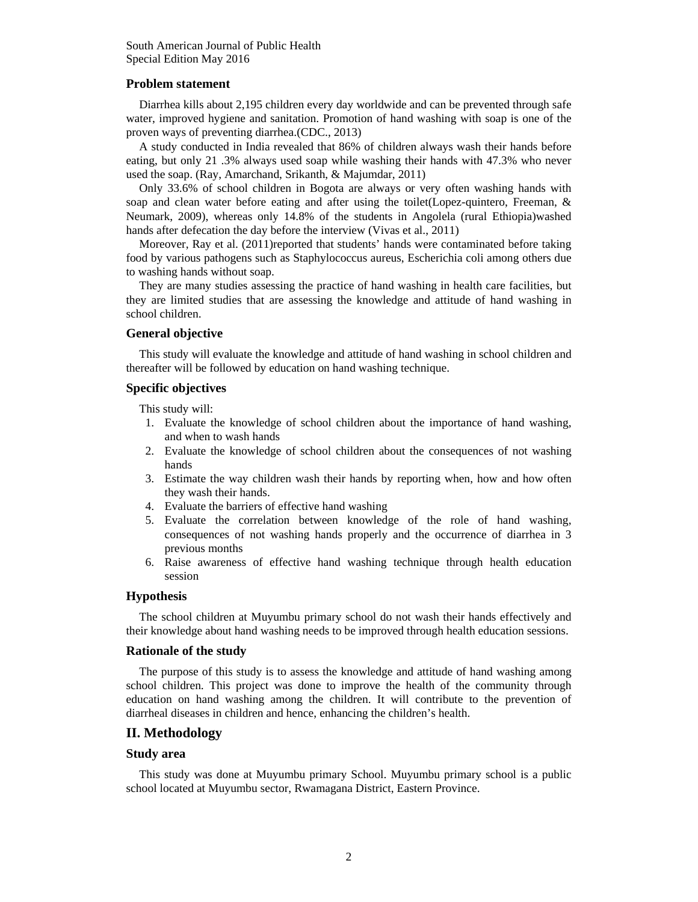### **Problem statement**

Diarrhea kills about 2,195 children every day worldwide and can be prevented through safe water, improved hygiene and sanitation. Promotion of hand washing with soap is one of the proven ways of preventing diarrhea.(CDC., 2013)

A study conducted in India revealed that 86% of children always wash their hands before eating, but only 21 .3% always used soap while washing their hands with 47.3% who never used the soap. (Ray, Amarchand, Srikanth, & Majumdar, 2011)

Only 33.6% of school children in Bogota are always or very often washing hands with soap and clean water before eating and after using the toilet(Lopez-quintero, Freeman, & Neumark, 2009), whereas only 14.8% of the students in Angolela (rural Ethiopia)washed hands after defecation the day before the interview (Vivas et al., 2011)

Moreover, Ray et al. (2011)reported that students' hands were contaminated before taking food by various pathogens such as Staphylococcus aureus, Escherichia coli among others due to washing hands without soap.

They are many studies assessing the practice of hand washing in health care facilities, but they are limited studies that are assessing the knowledge and attitude of hand washing in school children.

## **General objective**

This study will evaluate the knowledge and attitude of hand washing in school children and thereafter will be followed by education on hand washing technique.

### **Specific objectives**

This study will:

- 1. Evaluate the knowledge of school children about the importance of hand washing, and when to wash hands
- 2. Evaluate the knowledge of school children about the consequences of not washing hands
- 3. Estimate the way children wash their hands by reporting when, how and how often they wash their hands.
- 4. Evaluate the barriers of effective hand washing
- 5. Evaluate the correlation between knowledge of the role of hand washing, consequences of not washing hands properly and the occurrence of diarrhea in 3 previous months
- 6. Raise awareness of effective hand washing technique through health education session

## **Hypothesis**

The school children at Muyumbu primary school do not wash their hands effectively and their knowledge about hand washing needs to be improved through health education sessions.

## **Rationale of the study**

The purpose of this study is to assess the knowledge and attitude of hand washing among school children. This project was done to improve the health of the community through education on hand washing among the children. It will contribute to the prevention of diarrheal diseases in children and hence, enhancing the children's health.

## **II. Methodology**

## **Study area**

This study was done at Muyumbu primary School. Muyumbu primary school is a public school located at Muyumbu sector, Rwamagana District, Eastern Province.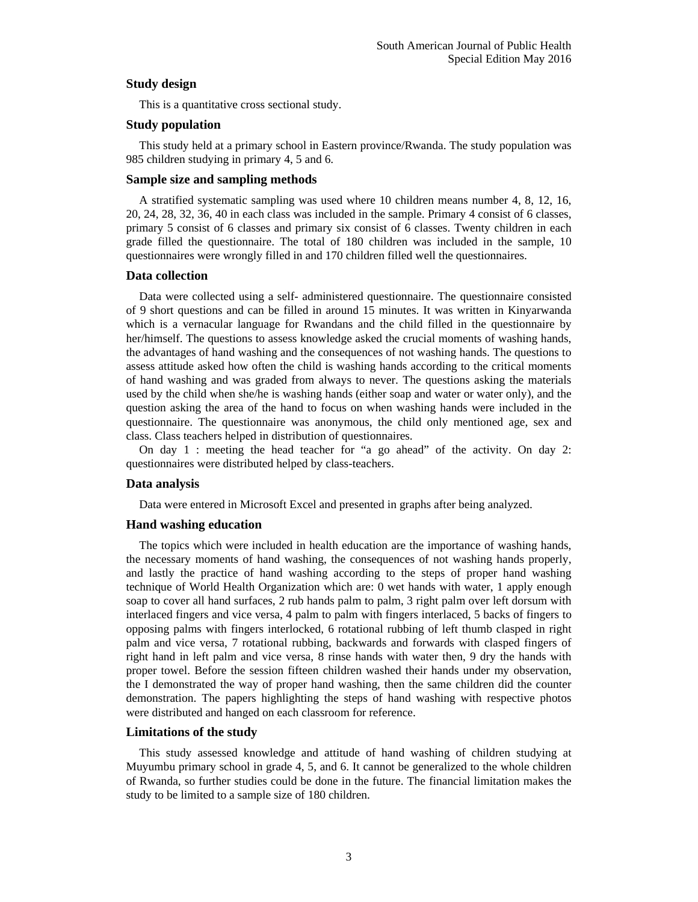## **Study design**

This is a quantitative cross sectional study.

#### **Study population**

This study held at a primary school in Eastern province/Rwanda. The study population was 985 children studying in primary 4, 5 and 6.

#### **Sample size and sampling methods**

A stratified systematic sampling was used where 10 children means number 4, 8, 12, 16, 20, 24, 28, 32, 36, 40 in each class was included in the sample. Primary 4 consist of 6 classes, primary 5 consist of 6 classes and primary six consist of 6 classes. Twenty children in each grade filled the questionnaire. The total of 180 children was included in the sample, 10 questionnaires were wrongly filled in and 170 children filled well the questionnaires.

#### **Data collection**

Data were collected using a self- administered questionnaire. The questionnaire consisted of 9 short questions and can be filled in around 15 minutes. It was written in Kinyarwanda which is a vernacular language for Rwandans and the child filled in the questionnaire by her/himself. The questions to assess knowledge asked the crucial moments of washing hands, the advantages of hand washing and the consequences of not washing hands. The questions to assess attitude asked how often the child is washing hands according to the critical moments of hand washing and was graded from always to never. The questions asking the materials used by the child when she/he is washing hands (either soap and water or water only), and the question asking the area of the hand to focus on when washing hands were included in the questionnaire. The questionnaire was anonymous, the child only mentioned age, sex and class. Class teachers helped in distribution of questionnaires.

On day 1 : meeting the head teacher for "a go ahead" of the activity. On day 2: questionnaires were distributed helped by class-teachers.

#### **Data analysis**

Data were entered in Microsoft Excel and presented in graphs after being analyzed.

#### **Hand washing education**

The topics which were included in health education are the importance of washing hands, the necessary moments of hand washing, the consequences of not washing hands properly, and lastly the practice of hand washing according to the steps of proper hand washing technique of World Health Organization which are: 0 wet hands with water, 1 apply enough soap to cover all hand surfaces, 2 rub hands palm to palm, 3 right palm over left dorsum with interlaced fingers and vice versa, 4 palm to palm with fingers interlaced, 5 backs of fingers to opposing palms with fingers interlocked, 6 rotational rubbing of left thumb clasped in right palm and vice versa, 7 rotational rubbing, backwards and forwards with clasped fingers of right hand in left palm and vice versa, 8 rinse hands with water then, 9 dry the hands with proper towel. Before the session fifteen children washed their hands under my observation, the I demonstrated the way of proper hand washing, then the same children did the counter demonstration. The papers highlighting the steps of hand washing with respective photos were distributed and hanged on each classroom for reference.

#### **Limitations of the study**

This study assessed knowledge and attitude of hand washing of children studying at Muyumbu primary school in grade 4, 5, and 6. It cannot be generalized to the whole children of Rwanda, so further studies could be done in the future. The financial limitation makes the study to be limited to a sample size of 180 children.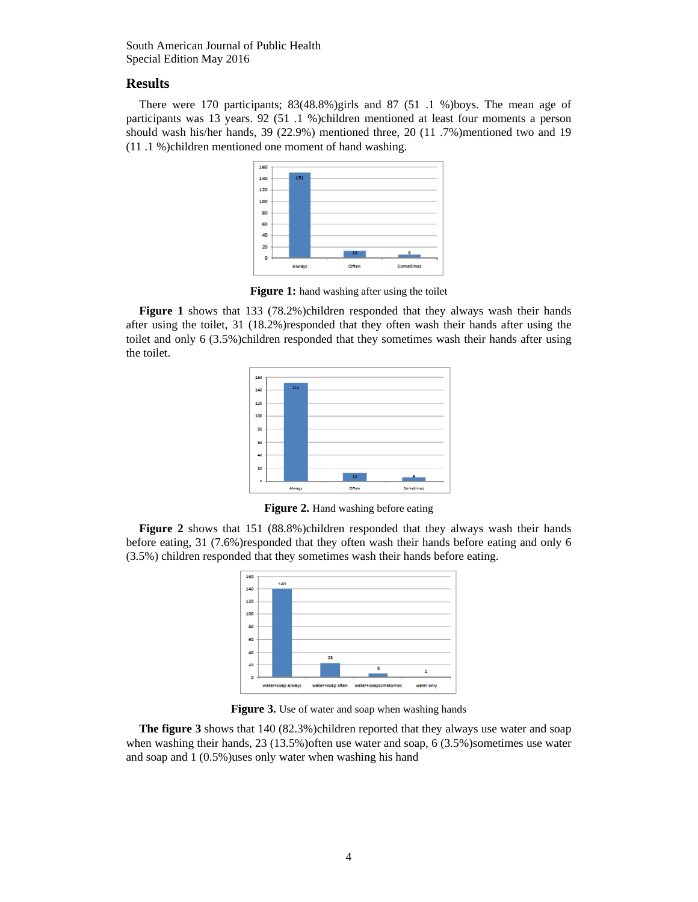## **Results**

There were 170 participants; 83(48.8%)girls and 87 (51 .1 %)boys. The mean age of participants was 13 years. 92 (51 .1 %)children mentioned at least four moments a person should wash his/her hands, 39 (22.9%) mentioned three, 20 (11 .7%)mentioned two and 19 (11 .1 %)children mentioned one moment of hand washing.



**Figure 1:** hand washing after using the toilet

**Figure 1** shows that 133 (78.2%)children responded that they always wash their hands after using the toilet, 31 (18.2%)responded that they often wash their hands after using the toilet and only 6 (3.5%)children responded that they sometimes wash their hands after using the toilet.



**Figure 2.** Hand washing before eating

**Figure 2** shows that 151 (88.8%)children responded that they always wash their hands before eating, 31 (7.6%)responded that they often wash their hands before eating and only 6 (3.5%) children responded that they sometimes wash their hands before eating.



**Figure 3.** Use of water and soap when washing hands

**The figure 3** shows that 140 (82.3%)children reported that they always use water and soap when washing their hands, 23 (13.5%) often use water and soap, 6 (3.5%) sometimes use water and soap and 1 (0.5%)uses only water when washing his hand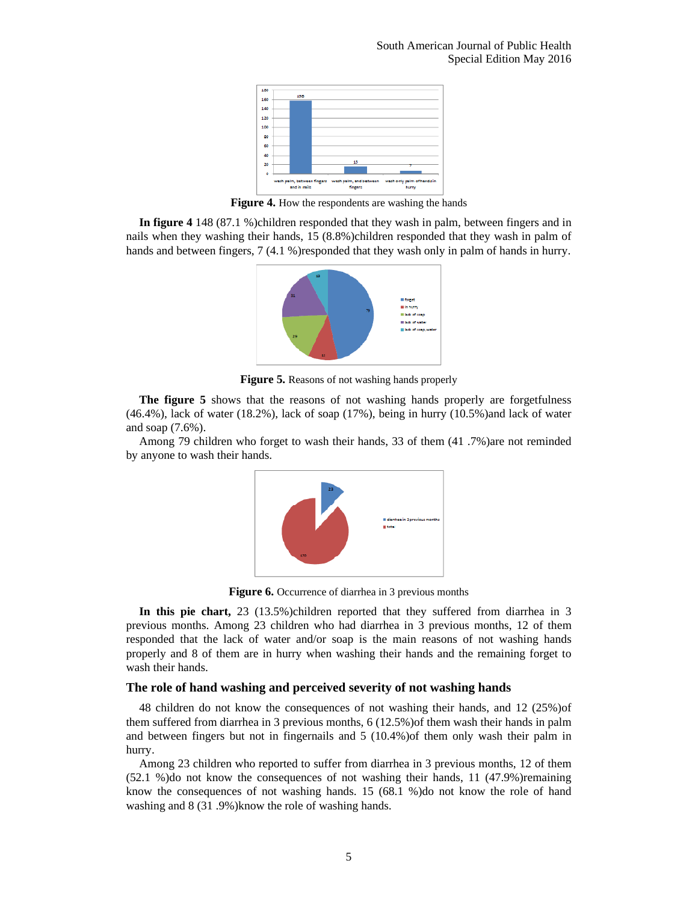

**Figure 4.** How the respondents are washing the hands

**In figure 4** 148 (87.1 %)children responded that they wash in palm, between fingers and in nails when they washing their hands, 15 (8.8%)children responded that they wash in palm of hands and between fingers, 7 (4.1 %)responded that they wash only in palm of hands in hurry.



**Figure 5.** Reasons of not washing hands properly

**The figure 5** shows that the reasons of not washing hands properly are forgetfulness (46.4%), lack of water (18.2%), lack of soap (17%), being in hurry (10.5%)and lack of water and soap (7.6%).

Among 79 children who forget to wash their hands, 33 of them (41 .7%)are not reminded by anyone to wash their hands.



**Figure 6.** Occurrence of diarrhea in 3 previous months

**In this pie chart,** 23 (13.5%)children reported that they suffered from diarrhea in 3 previous months. Among 23 children who had diarrhea in 3 previous months, 12 of them responded that the lack of water and/or soap is the main reasons of not washing hands properly and 8 of them are in hurry when washing their hands and the remaining forget to wash their hands.

### **The role of hand washing and perceived severity of not washing hands**

48 children do not know the consequences of not washing their hands, and 12 (25%)of them suffered from diarrhea in 3 previous months, 6 (12.5%)of them wash their hands in palm and between fingers but not in fingernails and 5 (10.4%)of them only wash their palm in hurry.

Among 23 children who reported to suffer from diarrhea in 3 previous months, 12 of them (52.1 %)do not know the consequences of not washing their hands, 11 (47.9%)remaining know the consequences of not washing hands. 15 (68.1 %)do not know the role of hand washing and 8 (31 .9%)know the role of washing hands.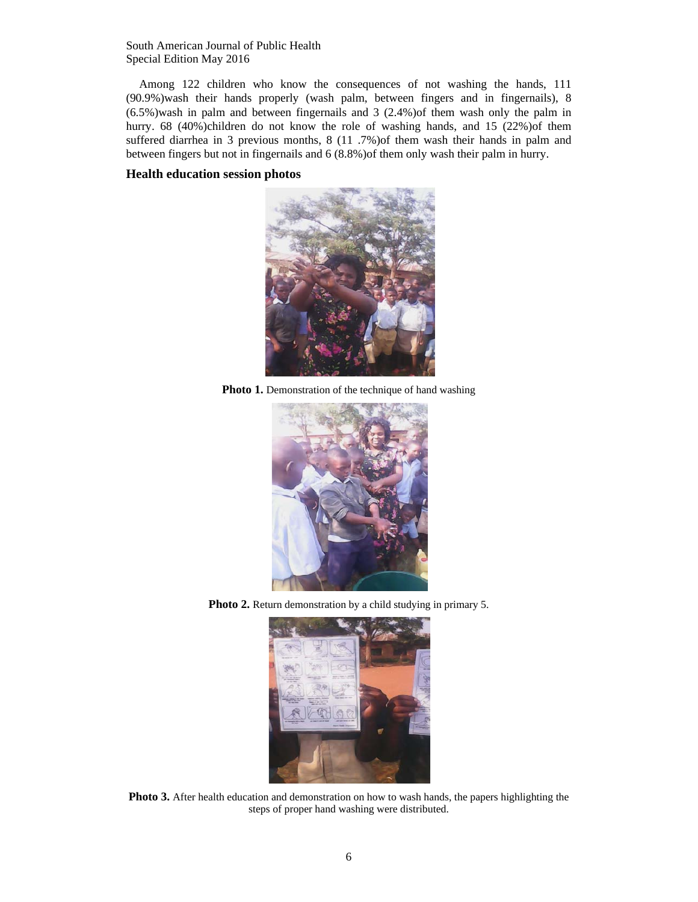Among 122 children who know the consequences of not washing the hands, 111 (90.9%)wash their hands properly (wash palm, between fingers and in fingernails), 8 (6.5%)wash in palm and between fingernails and 3 (2.4%)of them wash only the palm in hurry. 68 (40%)children do not know the role of washing hands, and 15 (22%)of them suffered diarrhea in 3 previous months, 8 (11 .7%) of them wash their hands in palm and between fingers but not in fingernails and 6 (8.8%)of them only wash their palm in hurry.

## **Health education session photos**



**Photo 1.** Demonstration of the technique of hand washing



**Photo 2.** Return demonstration by a child studying in primary 5.



**Photo 3.** After health education and demonstration on how to wash hands, the papers highlighting the steps of proper hand washing were distributed.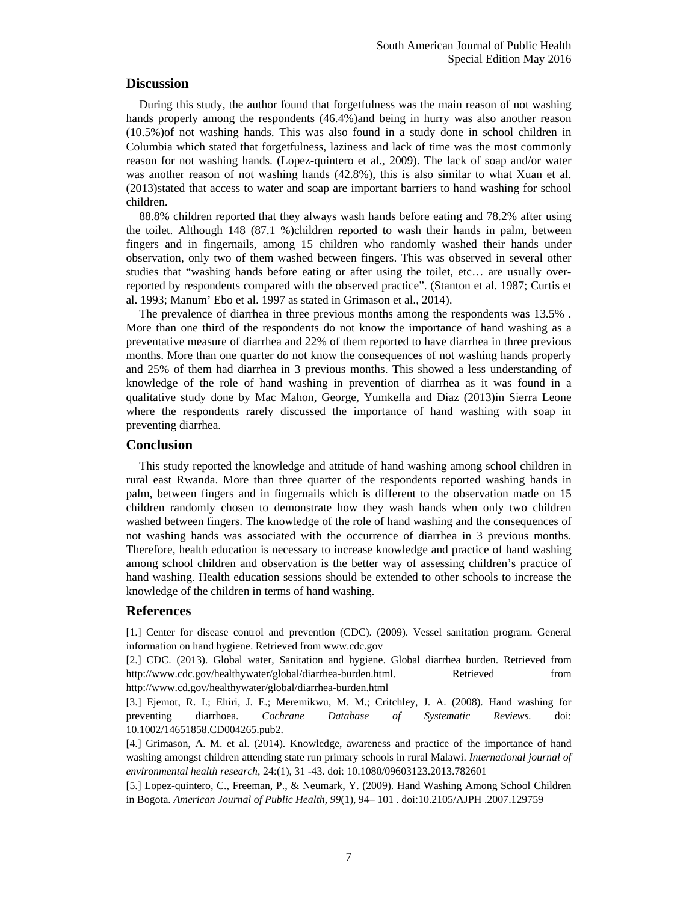## **Discussion**

During this study, the author found that forgetfulness was the main reason of not washing hands properly among the respondents (46.4%)and being in hurry was also another reason (10.5%)of not washing hands. This was also found in a study done in school children in Columbia which stated that forgetfulness, laziness and lack of time was the most commonly reason for not washing hands. (Lopez-quintero et al., 2009). The lack of soap and/or water was another reason of not washing hands (42.8%), this is also similar to what Xuan et al. (2013)stated that access to water and soap are important barriers to hand washing for school children.

88.8% children reported that they always wash hands before eating and 78.2% after using the toilet. Although 148 (87.1 %)children reported to wash their hands in palm, between fingers and in fingernails, among 15 children who randomly washed their hands under observation, only two of them washed between fingers. This was observed in several other studies that "washing hands before eating or after using the toilet, etc… are usually overreported by respondents compared with the observed practice". (Stanton et al. 1987; Curtis et al. 1993; Manum' Ebo et al. 1997 as stated in Grimason et al., 2014).

The prevalence of diarrhea in three previous months among the respondents was 13.5% . More than one third of the respondents do not know the importance of hand washing as a preventative measure of diarrhea and 22% of them reported to have diarrhea in three previous months. More than one quarter do not know the consequences of not washing hands properly and 25% of them had diarrhea in 3 previous months. This showed a less understanding of knowledge of the role of hand washing in prevention of diarrhea as it was found in a qualitative study done by Mac Mahon, George, Yumkella and Diaz (2013)in Sierra Leone where the respondents rarely discussed the importance of hand washing with soap in preventing diarrhea.

## **Conclusion**

This study reported the knowledge and attitude of hand washing among school children in rural east Rwanda. More than three quarter of the respondents reported washing hands in palm, between fingers and in fingernails which is different to the observation made on 15 children randomly chosen to demonstrate how they wash hands when only two children washed between fingers. The knowledge of the role of hand washing and the consequences of not washing hands was associated with the occurrence of diarrhea in 3 previous months. Therefore, health education is necessary to increase knowledge and practice of hand washing among school children and observation is the better way of assessing children's practice of hand washing. Health education sessions should be extended to other schools to increase the knowledge of the children in terms of hand washing.

# **References**

[1.] Center for disease control and prevention (CDC). (2009). Vessel sanitation program. General information on hand hygiene. Retrieved from www.cdc.gov

[2.] CDC. (2013). Global water, Sanitation and hygiene. Global diarrhea burden. Retrieved from http://www.cdc.gov/healthywater/global/diarrhea-burden.html. Retrieved from http://www.cd.gov/healthywater/global/diarrhea-burden.html

[3.] Ejemot, R. I.; Ehiri, J. E.; Meremikwu, M. M.; Critchley, J. A. (2008). Hand washing for preventing diarrhoea. *Cochrane Database of Systematic Reviews.* doi: 10.1002/14651858.CD004265.pub2.

[4.] Grimason, A. M. et al. (2014). Knowledge, awareness and practice of the importance of hand washing amongst children attending state run primary schools in rural Malawi. *International journal of environmental health research,* 24:(1), 31 -43. doi: 10.1080/09603123.2013.782601

[5.] Lopez-quintero, C., Freeman, P., & Neumark, Y. (2009). Hand Washing Among School Children in Bogota. *American Journal of Public Health*, *99*(1), 94– 101 . doi:10.2105/AJPH .2007.129759